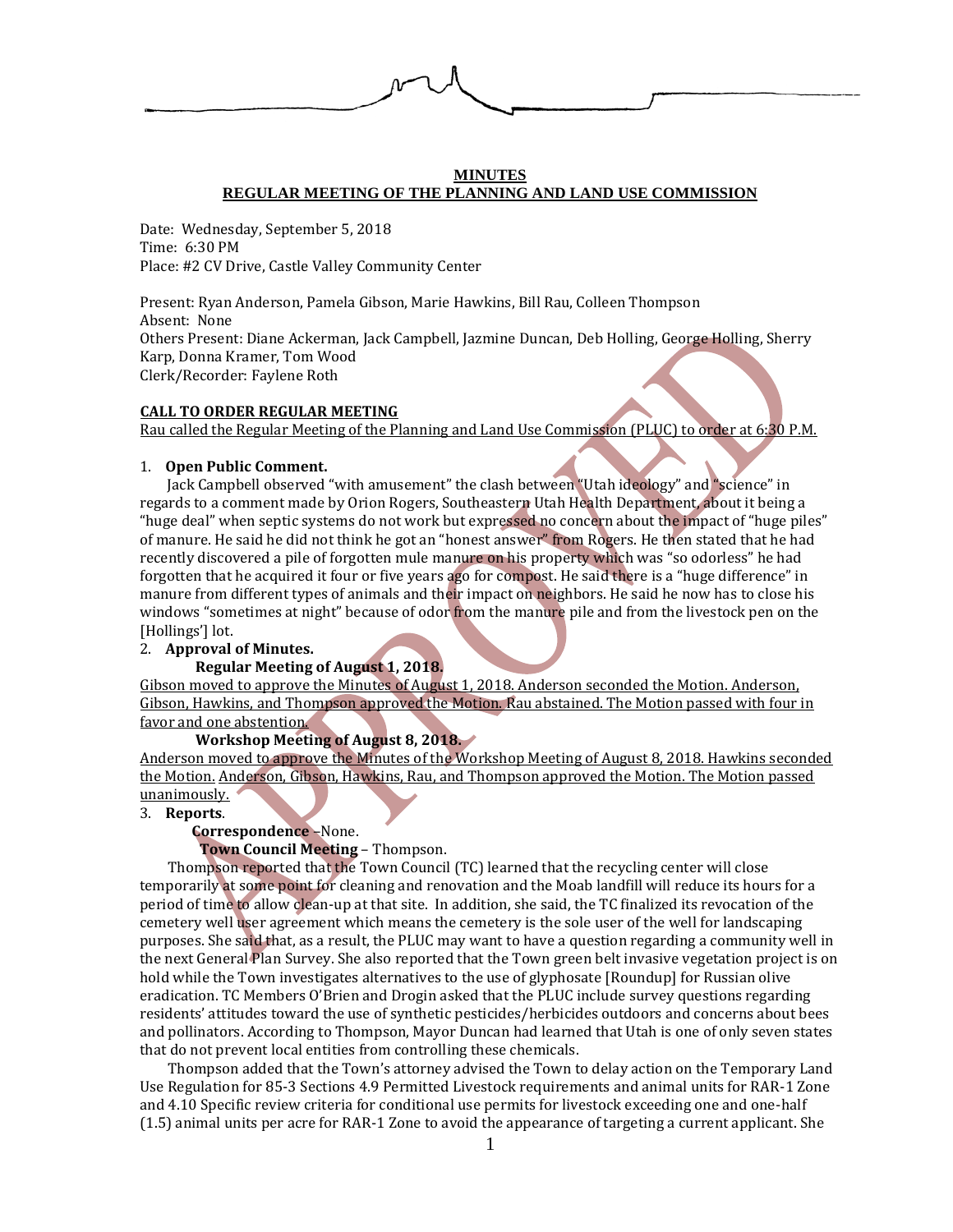

## **MINUTES REGULAR MEETING OF THE PLANNING AND LAND USE COMMISSION**

Date: Wednesday, September 5, 2018 Time: 6:30 PM Place: #2 CV Drive, Castle Valley Community Center

Present: Ryan Anderson, Pamela Gibson, Marie Hawkins, Bill Rau, Colleen Thompson Absent: None Others Present: Diane Ackerman, Jack Campbell, Jazmine Duncan, Deb Holling, George Holling, Sherry Karp, Donna Kramer, Tom Wood Clerk/Recorder: Faylene Roth

## **CALL TO ORDER REGULAR MEETING**

Rau called the Regular Meeting of the Planning and Land Use Commission (PLUC) to order at 6:30 P.M.

## 1. **Open Public Comment.**

 Jack Campbell observed "with amusement" the clash between "Utah ideology" and "science" in regards to a comment made by Orion Rogers, Southeastern Utah Health Department, about it being a "huge deal" when septic systems do not work but expressed no concern about the impact of "huge piles" of manure. He said he did not think he got an "honest answer" from Rogers. He then stated that he had recently discovered a pile of forgotten mule manure on his property which was "so odorless" he had forgotten that he acquired it four or five years ago for compost. He said there is a "huge difference" in manure from different types of animals and their impact on neighbors. He said he now has to close his windows "sometimes at night" because of odor from the manure pile and from the livestock pen on the [Hollings'] lot.

# 2. **Approval of Minutes.**

## **Regular Meeting of August 1, 2018.**

Gibson moved to approve the Minutes of August 1, 2018. Anderson seconded the Motion. Anderson, Gibson, Hawkins, and Thompson approved the Motion. Rau abstained. The Motion passed with four in favor and one abstention.

## **Workshop Meeting of August 8, 2018.**

Anderson moved to approve the Minutes of the Workshop Meeting of August 8, 2018. Hawkins seconded the Motion. Anderson, Gibson, Hawkins, Rau, and Thompson approved the Motion. The Motion passed unanimously.

#### 3. **Reports**.

## **Correspondence** –None.

## **Town Council Meeting** – Thompson.

Thompson reported that the Town Council (TC) learned that the recycling center will close temporarily at some point for cleaning and renovation and the Moab landfill will reduce its hours for a period of time to allow clean-up at that site. In addition, she said, the TC finalized its revocation of the cemetery well user agreement which means the cemetery is the sole user of the well for landscaping purposes. She said that, as a result, the PLUC may want to have a question regarding a community well in the next General Plan Survey. She also reported that the Town green belt invasive vegetation project is on hold while the Town investigates alternatives to the use of glyphosate [Roundup] for Russian olive eradication. TC Members O'Brien and Drogin asked that the PLUC include survey questions regarding residents' attitudes toward the use of synthetic pesticides/herbicides outdoors and concerns about bees and pollinators. According to Thompson, Mayor Duncan had learned that Utah is one of only seven states that do not prevent local entities from controlling these chemicals.

Thompson added that the Town's attorney advised the Town to delay action on the Temporary Land Use Regulation for 85-3 Sections 4.9 Permitted Livestock requirements and animal units for RAR-1 Zone and 4.10 Specific review criteria for conditional use permits for livestock exceeding one and one-half (1.5) animal units per acre for RAR-1 Zone to avoid the appearance of targeting a current applicant. She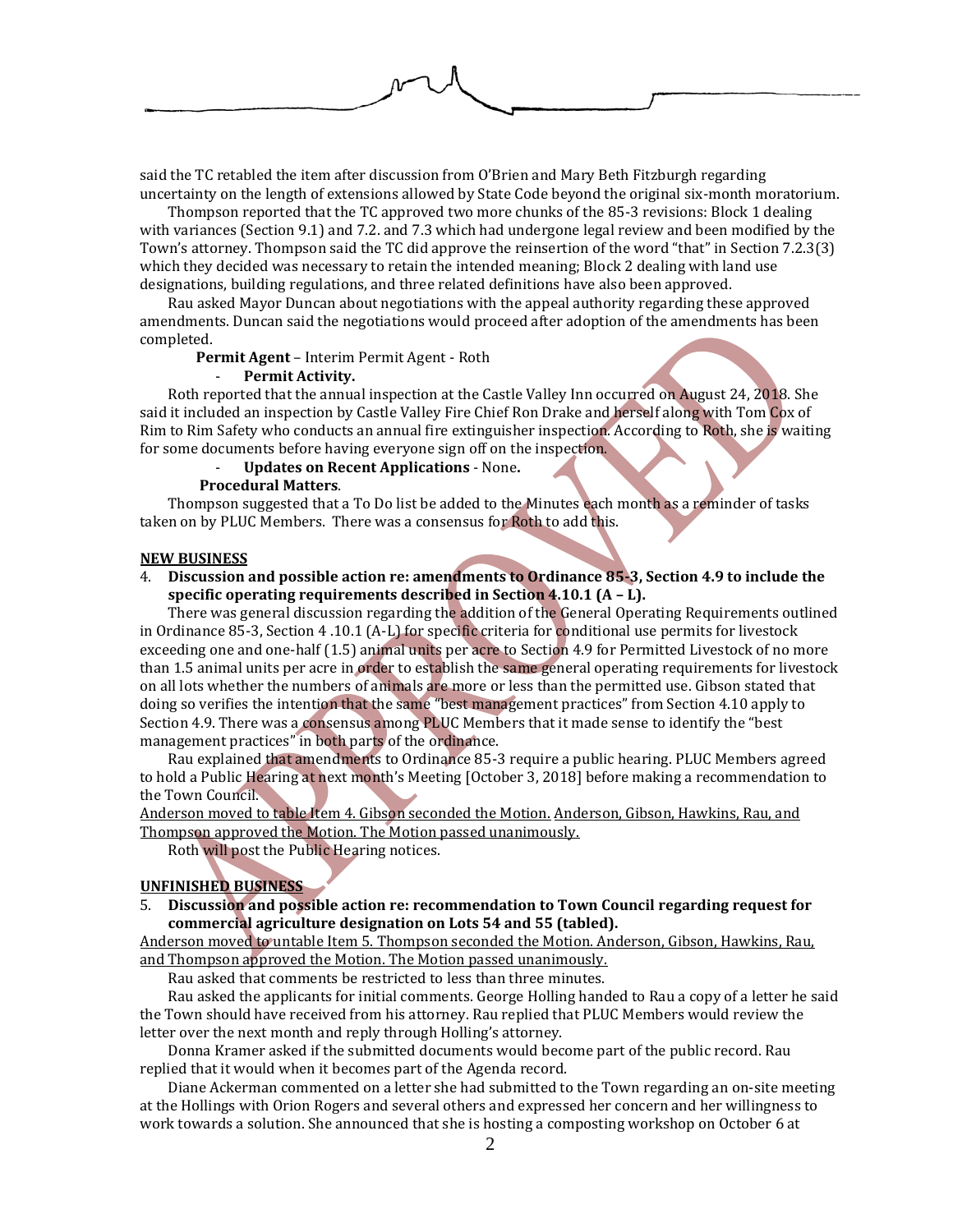said the TC retabled the item after discussion from O'Brien and Mary Beth Fitzburgh regarding uncertainty on the length of extensions allowed by State Code beyond the original six-month moratorium.

Thompson reported that the TC approved two more chunks of the 85-3 revisions: Block 1 dealing with variances (Section 9.1) and 7.2. and 7.3 which had undergone legal review and been modified by the Town's attorney. Thompson said the TC did approve the reinsertion of the word "that" in Section 7.2.3(3) which they decided was necessary to retain the intended meaning; Block 2 dealing with land use designations, building regulations, and three related definitions have also been approved.

Rau asked Mayor Duncan about negotiations with the appeal authority regarding these approved amendments. Duncan said the negotiations would proceed after adoption of the amendments has been completed.

**Permit Agent** – Interim Permit Agent - Roth

## - **Permit Activity.**

Roth reported that the annual inspection at the Castle Valley Inn occurred on August 24, 2018. She said it included an inspection by Castle Valley Fire Chief Ron Drake and herself along with Tom Cox of Rim to Rim Safety who conducts an annual fire extinguisher inspection. According to Roth, she is waiting for some documents before having everyone sign off on the inspection.

#### - **Updates on Recent Applications** - None**.**

#### **Procedural Matters**.

Thompson suggested that a To Do list be added to the Minutes each month as a reminder of tasks taken on by PLUC Members. There was a consensus for Roth to add this.

#### **NEW BUSINESS**

4. **Discussion and possible action re: amendments to Ordinance 85-3, Section 4.9 to include the specific operating requirements described in Section 4.10.1 (A – L).**

There was general discussion regarding the addition of the General Operating Requirements outlined in Ordinance 85-3, Section 4 .10.1 (A-L) for specific criteria for conditional use permits for livestock exceeding one and one-half (1.5) animal units per acre to Section 4.9 for Permitted Livestock of no more than 1.5 animal units per acre in order to establish the same general operating requirements for livestock on all lots whether the numbers of animals are more or less than the permitted use. Gibson stated that doing so verifies the intention that the same "best management practices" from Section 4.10 apply to Section 4.9. There was a consensus among PLUC Members that it made sense to identify the "best management practices" in both parts of the ordinance.

Rau explained that amendments to Ordinance 85-3 require a public hearing. PLUC Members agreed to hold a Public Hearing at next month's Meeting [October 3, 2018] before making a recommendation to the Town Council.

Anderson moved to table Item 4. Gibson seconded the Motion. Anderson, Gibson, Hawkins, Rau, and Thompson approved the Motion. The Motion passed unanimously.

Roth will post the Public Hearing notices.

#### **UNFINISHED BUSINESS**

5. **Discussion and possible action re: recommendation to Town Council regarding request for commercial agriculture designation on Lots 54 and 55 (tabled).**

Anderson moved to untable Item 5. Thompson seconded the Motion. Anderson, Gibson, Hawkins, Rau, and Thompson approved the Motion. The Motion passed unanimously.

Rau asked that comments be restricted to less than three minutes.

Rau asked the applicants for initial comments. George Holling handed to Rau a copy of a letter he said the Town should have received from his attorney. Rau replied that PLUC Members would review the letter over the next month and reply through Holling's attorney.

Donna Kramer asked if the submitted documents would become part of the public record. Rau replied that it would when it becomes part of the Agenda record.

Diane Ackerman commented on a letter she had submitted to the Town regarding an on-site meeting at the Hollings with Orion Rogers and several others and expressed her concern and her willingness to work towards a solution. She announced that she is hosting a composting workshop on October 6 at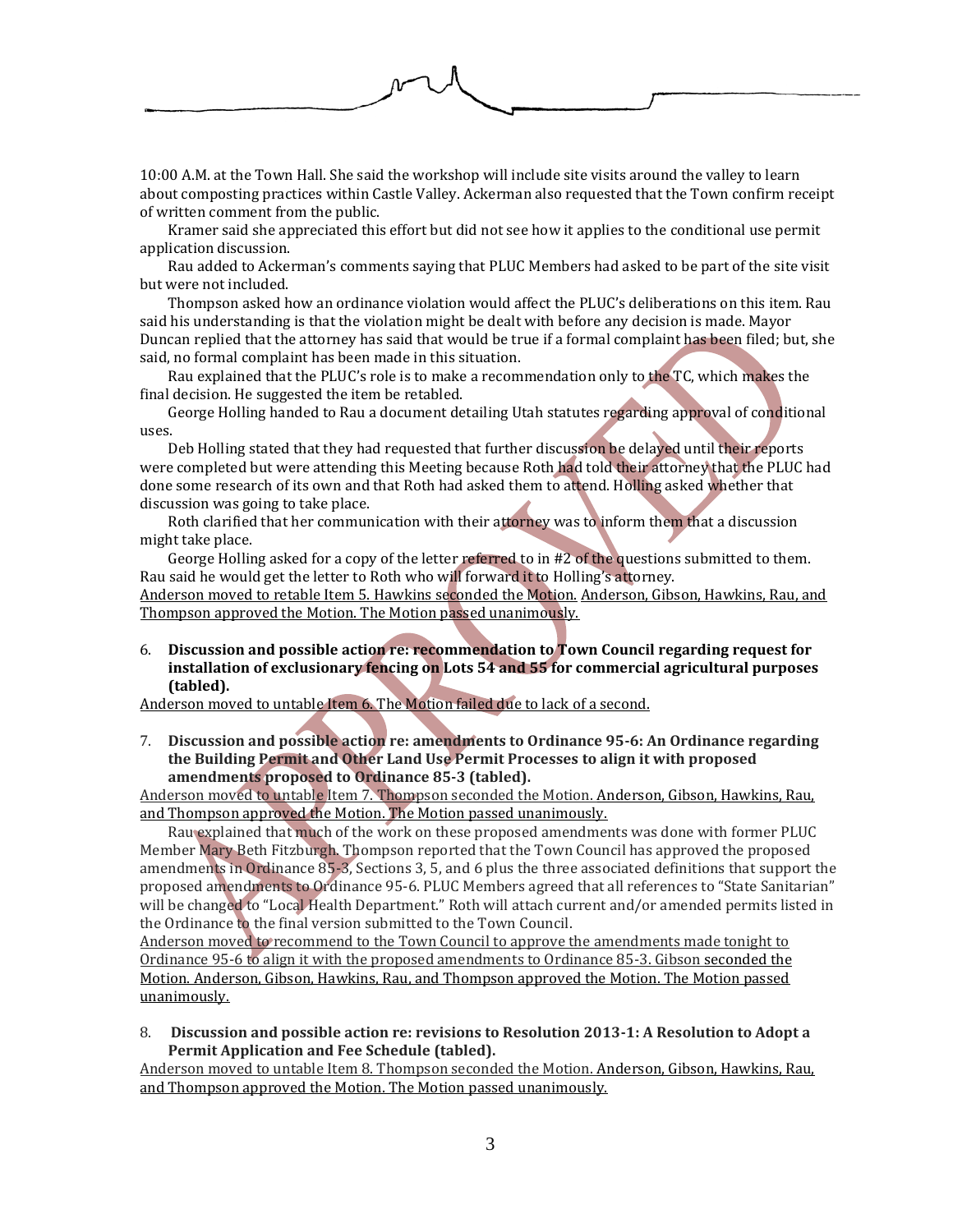10:00 A.M. at the Town Hall. She said the workshop will include site visits around the valley to learn about composting practices within Castle Valley. Ackerman also requested that the Town confirm receipt of written comment from the public.

Kramer said she appreciated this effort but did not see how it applies to the conditional use permit application discussion.

Rau added to Ackerman's comments saying that PLUC Members had asked to be part of the site visit but were not included.

Thompson asked how an ordinance violation would affect the PLUC's deliberations on this item. Rau said his understanding is that the violation might be dealt with before any decision is made. Mayor Duncan replied that the attorney has said that would be true if a formal complaint has been filed; but, she said, no formal complaint has been made in this situation.

Rau explained that the PLUC's role is to make a recommendation only to the TC, which makes the final decision. He suggested the item be retabled.

George Holling handed to Rau a document detailing Utah statutes regarding approval of conditional uses.

Deb Holling stated that they had requested that further discussion be delayed until their reports were completed but were attending this Meeting because Roth had told their attorney that the PLUC had done some research of its own and that Roth had asked them to attend. Holling asked whether that discussion was going to take place.

Roth clarified that her communication with their attorney was to inform them that a discussion might take place.

George Holling asked for a copy of the letter referred to in #2 of the questions submitted to them. Rau said he would get the letter to Roth who will forward it to Holling's attorney.

Anderson moved to retable Item 5. Hawkins seconded the Motion. Anderson, Gibson, Hawkins, Rau, and Thompson approved the Motion. The Motion passed unanimously.

6. **Discussion and possible action re: recommendation to Town Council regarding request for installation of exclusionary fencing on Lots 54 and 55 for commercial agricultural purposes (tabled).**

Anderson moved to untable Item 6. The Motion failed due to lack of a second.

7. **Discussion and possible action re: amendments to Ordinance 95-6: An Ordinance regarding the Building Permit and Other Land Use Permit Processes to align it with proposed amendments proposed to Ordinance 85-3 (tabled).**

Anderson moved to untable Item 7. Thompson seconded the Motion. Anderson, Gibson, Hawkins, Rau, and Thompson approved the Motion. The Motion passed unanimously.

Rau explained that much of the work on these proposed amendments was done with former PLUC Member Mary Beth Fitzburgh. Thompson reported that the Town Council has approved the proposed amendments in Ordinance 85-3, Sections 3, 5, and 6 plus the three associated definitions that support the proposed amendments to Ordinance 95-6. PLUC Members agreed that all references to "State Sanitarian" will be changed to "Local Health Department." Roth will attach current and/or amended permits listed in the Ordinance to the final version submitted to the Town Council.

Anderson moved to recommend to the Town Council to approve the amendments made tonight to Ordinance 95-6 to align it with the proposed amendments to Ordinance 85-3. Gibson seconded the Motion. Anderson, Gibson, Hawkins, Rau, and Thompson approved the Motion. The Motion passed unanimously.

8. **Discussion and possible action re: revisions to Resolution 2013-1: A Resolution to Adopt a Permit Application and Fee Schedule (tabled).**

Anderson moved to untable Item 8. Thompson seconded the Motion. Anderson, Gibson, Hawkins, Rau, and Thompson approved the Motion. The Motion passed unanimously.